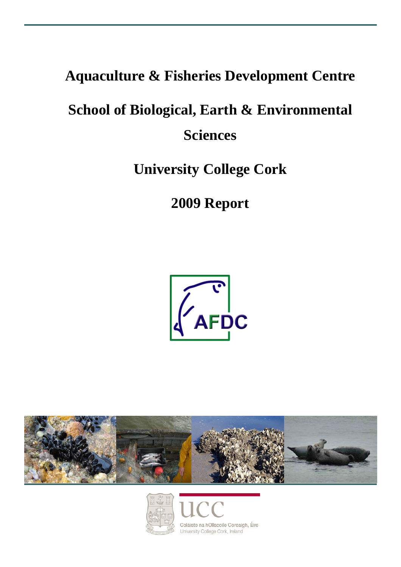## **Aquaculture & Fisheries Development Centre**

# **School of Biological, Earth & Environmental Sciences**

## **University College Cork**

## **2009 Report**





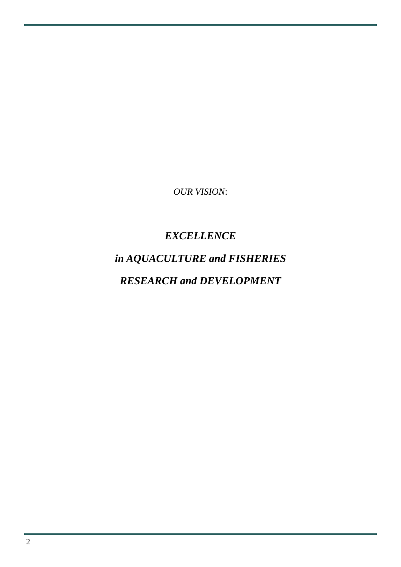*OUR VISION*:

### *EXCELLENCE*

# *in AQUACULTURE and FISHERIES*

### *RESEARCH and DEVELOPMENT*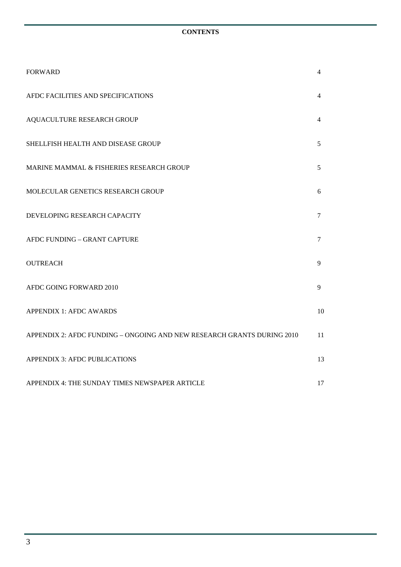#### **CONTENTS**

| <b>FORWARD</b>                                                         | 4              |
|------------------------------------------------------------------------|----------------|
| AFDC FACILITIES AND SPECIFICATIONS                                     | 4              |
| AQUACULTURE RESEARCH GROUP                                             | 4              |
| SHELLFISH HEALTH AND DISEASE GROUP                                     | 5              |
| MARINE MAMMAL & FISHERIES RESEARCH GROUP                               | 5              |
| MOLECULAR GENETICS RESEARCH GROUP                                      | 6              |
| DEVELOPING RESEARCH CAPACITY                                           | $\overline{7}$ |
| AFDC FUNDING - GRANT CAPTURE                                           | 7              |
| <b>OUTREACH</b>                                                        | 9              |
| AFDC GOING FORWARD 2010                                                | 9              |
| <b>APPENDIX 1: AFDC AWARDS</b>                                         | 10             |
| APPENDIX 2: AFDC FUNDING - ONGOING AND NEW RESEARCH GRANTS DURING 2010 | 11             |
| <b>APPENDIX 3: AFDC PUBLICATIONS</b>                                   | 13             |
| APPENDIX 4: THE SUNDAY TIMES NEWSPAPER ARTICLE                         | 17             |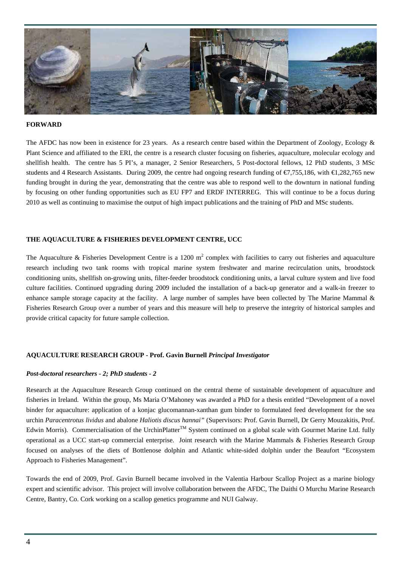

#### **FORWARD**

The AFDC has now been in existence for 23 years. As a research centre based within the Department of Zoology, Ecology & Plant Science and affiliated to the ERI, the centre is a research cluster focusing on fisheries, aquaculture, molecular ecology and shellfish health. The centre has 5 PI's, a manager, 2 Senior Researchers, 5 Post-doctoral fellows, 12 PhD students, 3 MSc students and 4 Research Assistants. During 2009, the centre had ongoing research funding of €7,755,186, with €1,282,765 new funding brought in during the year, demonstrating that the centre was able to respond well to the downturn in national funding by focusing on other funding opportunities such as EU FP7 and ERDF INTERREG. This will continue to be a focus during 2010 as well as continuing to maximise the output of high impact publications and the training of PhD and MSc students.

#### **THE AQUACULTURE & FISHERIES DEVELOPMENT CENTRE, UCC**

The Aquaculture & Fisheries Development Centre is a 1200  $m^2$  complex with facilities to carry out fisheries and aquaculture research including two tank rooms with tropical marine system freshwater and marine recirculation units, broodstock conditioning units, shellfish on-growing units, filter-feeder broodstock conditioning units, a larval culture system and live food culture facilities. Continued upgrading during 2009 included the installation of a back-up generator and a walk-in freezer to enhance sample storage capacity at the facility. A large number of samples have been collected by The Marine Mammal & Fisheries Research Group over a number of years and this measure will help to preserve the integrity of historical samples and provide critical capacity for future sample collection.

#### **AQUACULTURE RESEARCH GROUP - Prof. Gavin Burnell** *Principal Investigator*

#### *Post-doctoral researchers - 2; PhD students - 2*

Research at the Aquaculture Research Group continued on the central theme of sustainable development of aquaculture and fisheries in Ireland. Within the group, Ms Maria O'Mahoney was awarded a PhD for a thesis entitled "Development of a novel binder for aquaculture: application of a konjac glucomannan-xanthan gum binder to formulated feed development for the sea urchin *Paracentrotus lividus* and abalone *Haliotis discus hannai"* (Supervisors: Prof. Gavin Burnell, Dr Gerry Mouzakitis, Prof. Edwin Morris). Commercialisation of the UrchinPlatter<sup>TM</sup> System continued on a global scale with Gourmet Marine Ltd. fully operational as a UCC start-up commercial enterprise. Joint research with the Marine Mammals & Fisheries Research Group focused on analyses of the diets of Bottlenose dolphin and Atlantic white-sided dolphin under the Beaufort "Ecosystem Approach to Fisheries Management".

Towards the end of 2009, Prof. Gavin Burnell became involved in the Valentia Harbour Scallop Project as a marine biology expert and scientific advisor. This project will involve collaboration between the AFDC, The Daithi O Murchu Marine Research Centre, Bantry, Co. Cork working on a scallop genetics programme and NUI Galway.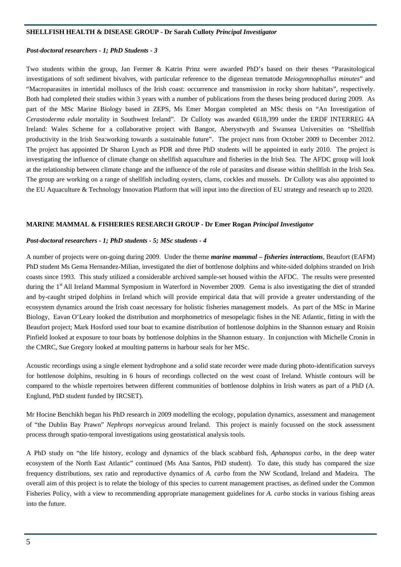#### **SHELLFISH HEALTH & DISEASE GROUP - Dr Sarah Culloty** *Principal Investigator*

#### *Post-doctoral researchers - 1; PhD Students - 3*

Two students within the group, Jan Fermer & Katrin Prinz were awarded PhD's based on their theses "Parasitological investigations of soft sediment bivalves, with particular reference to the digenean trematode *Meiogymnophallus minutes*" and "Macroparasites in intertidal molluscs of the Irish coast: occurrence and transmission in rocky shore habitats", respectively. Both had completed their studies within 3 years with a number of publications from the theses being produced during 2009. As part of the MSc Marine Biology based in ZEPS, Ms Emer Morgan completed an MSc thesis on "An Investigation of *Cerastoderma edule* mortality in Southwest Ireland". Dr Culloty was awarded €618,399 under the ERDF INTERREG 4A Ireland: Wales Scheme for a collaborative project with Bangor, Aberystwyth and Swansea Universities on "Shellfish productivity in the Irish Sea:working towards a sustainable future". The project runs from October 2009 to December 2012. The project has appointed Dr Sharon Lynch as PDR and three PhD students will be appointed in early 2010. The project is investigating the influence of climate change on shellfish aquaculture and fisheries in the Irish Sea. The AFDC group will look at the relationship between climate change and the influence of the role of parasites and disease within shellfish in the Irish Sea. The group are working on a range of shellfish including oysters, clams, cockles and mussels. Dr Culloty was also appointed to the EU Aquaculture & Technology Innovation Platform that will input into the direction of EU strategy and research up to 2020.

#### **MARINE MAMMAL & FISHERIES RESEARCH GROUP - Dr Emer Rogan** *Principal Investigator*

#### *Post-doctoral researchers - 1; PhD students - 5; MSc students - 4*

A number of projects were on-going during 2009. Under the theme *marine mammal – fisheries interactions*, Beaufort (EAFM) PhD student Ms Gema Hernandez-Milian, investigated the diet of bottlenose dolphins and white-sided dolphins stranded on Irish coasts since 1993. This study utilized a considerable archived sample-set housed within the AFDC. The results were presented during the 1<sup>st</sup> All Ireland Mammal Symposium in Waterford in November 2009. Gema is also investigating the diet of stranded and by-caught striped dolphins in Ireland which will provide empirical data that will provide a greater understanding of the ecosystem dynamics around the Irish coast necessary for holistic fisheries management models. As part of the MSc in Marine Biology, Eavan O'Leary looked the distribution and morphometrics of mesopelagic fishes in the NE Atlantic, fitting in with the Beaufort project; Mark Hosford used tour boat to examine distribution of bottlenose dolphins in the Shannon estuary and Roisin Pinfield looked at exposure to tour boats by bottlenose dolphins in the Shannon estuary. In conjunction with Michelle Cronin in the CMRC, Sue Gregory looked at moulting patterns in harbour seals for her MSc.

Acoustic recordings using a single element hydrophone and a solid state recorder were made during photo-identification surveys for bottlenose dolphins, resulting in 6 hours of recordings collected on the west coast of Ireland. Whistle contours will be compared to the whistle repertoires between different communities of bottlenose dolphins in Irish waters as part of a PhD (A. Englund, PhD student funded by IRCSET).

Mr Hocine Benchikh began his PhD research in 2009 modelling the ecology, population dynamics, assessment and management of "the Dublin Bay Prawn" *Nephrops norvegicus* around Ireland. This project is mainly focussed on the stock assessment process through spatio-temporal investigations using geostatistical analysis tools.

A PhD study on "the life history, ecology and dynamics of the black scabbard fish, *Aphanopus carbo*, in the deep water ecosystem of the North East Atlantic" continued (Ms Ana Santos, PhD student). To date, this study has compared the size frequency distributions, sex ratio and reproductive dynamics of *A. carbo* from the NW Scotland, Ireland and Madeira. The overall aim of this project is to relate the biology of this species to current management practises, as defined under the Common Fisheries Policy, with a view to recommending appropriate management guidelines for *A. carbo* stocks in various fishing areas into the future.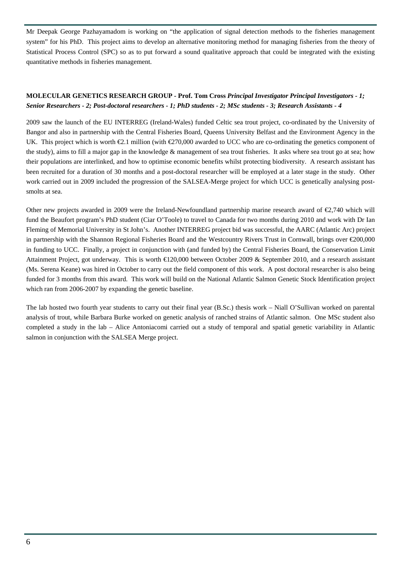Mr Deepak George Pazhayamadom is working on "the application of signal detection methods to the fisheries management system" for his PhD. This project aims to develop an alternative monitoring method for managing fisheries from the theory of Statistical Process Control (SPC) so as to put forward a sound qualitative approach that could be integrated with the existing quantitative methods in fisheries management.

#### **MOLECULAR GENETICS RESEARCH GROUP - Prof. Tom Cross** *Principal Investigator Principal Investigators - 1; Senior Researchers - 2; Post-doctoral researchers - 1; PhD students - 2; MSc students - 3; Research Assistants - 4*

2009 saw the launch of the EU INTERREG (Ireland-Wales) funded Celtic sea trout project, co-ordinated by the University of Bangor and also in partnership with the Central Fisheries Board, Queens University Belfast and the Environment Agency in the UK. This project which is worth  $\epsilon 2.1$  million (with  $\epsilon 270,000$  awarded to UCC who are co-ordinating the genetics component of the study), aims to fill a major gap in the knowledge & management of sea trout fisheries. It asks where sea trout go at sea; how their populations are interlinked, and how to optimise economic benefits whilst protecting biodiversity. A research assistant has been recruited for a duration of 30 months and a post-doctoral researcher will be employed at a later stage in the study. Other work carried out in 2009 included the progression of the SALSEA-Merge project for which UCC is genetically analysing postsmolts at sea.

Other new projects awarded in 2009 were the Ireland-Newfoundland partnership marine research award of  $\epsilon$ ,740 which will fund the Beaufort program's PhD student (Ciar O'Toole) to travel to Canada for two months during 2010 and work with Dr Ian Fleming of Memorial University in St John's. Another INTERREG project bid was successful, the AARC (Atlantic Arc) project in partnership with the Shannon Regional Fisheries Board and the Westcountry Rivers Trust in Cornwall, brings over €200,000 in funding to UCC. Finally, a project in conjunction with (and funded by) the Central Fisheries Board, the Conservation Limit Attainment Project, got underway. This is worth €120,000 between October 2009 & September 2010, and a research assistant (Ms. Serena Keane) was hired in October to carry out the field component of this work. A post doctoral researcher is also being funded for 3 months from this award. This work will build on the National Atlantic Salmon Genetic Stock Identification project which ran from 2006-2007 by expanding the genetic baseline.

The lab hosted two fourth year students to carry out their final year (B.Sc.) thesis work – Niall O'Sullivan worked on parental analysis of trout, while Barbara Burke worked on genetic analysis of ranched strains of Atlantic salmon. One MSc student also completed a study in the lab – Alice Antoniacomi carried out a study of temporal and spatial genetic variability in Atlantic salmon in conjunction with the SALSEA Merge project.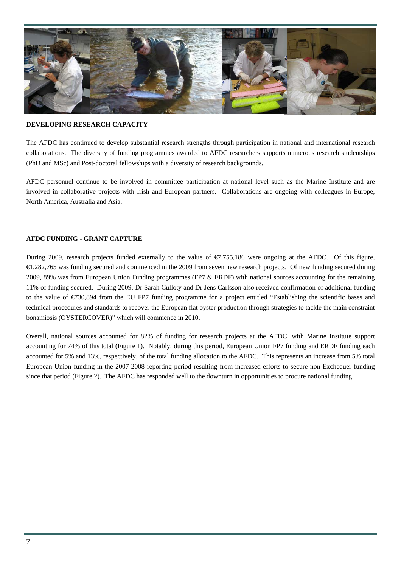

#### **DEVELOPING RESEARCH CAPACITY**

The AFDC has continued to develop substantial research strengths through participation in national and international research collaborations. The diversity of funding programmes awarded to AFDC researchers supports numerous research studentships (PhD and MSc) and Post-doctoral fellowships with a diversity of research backgrounds.

AFDC personnel continue to be involved in committee participation at national level such as the Marine Institute and are involved in collaborative projects with Irish and European partners. Collaborations are ongoing with colleagues in Europe, North America, Australia and Asia.

#### **AFDC FUNDING - GRANT CAPTURE**

During 2009, research projects funded externally to the value of  $\epsilon$ 7,755,186 were ongoing at the AFDC. Of this figure, €1,282,765 was funding secured and commenced in the 2009 from seven new research projects. Of new funding secured during 2009, 89% was from European Union Funding programmes (FP7 & ERDF) with national sources accounting for the remaining 11% of funding secured. During 2009, Dr Sarah Culloty and Dr Jens Carlsson also received confirmation of additional funding to the value of  $\epsilon$ 730,894 from the EU FP7 funding programme for a project entitled "Establishing the scientific bases and technical procedures and standards to recover the European flat oyster production through strategies to tackle the main constraint bonamiosis (OYSTERCOVER)" which will commence in 2010.

Overall, national sources accounted for 82% of funding for research projects at the AFDC, with Marine Institute support accounting for 74% of this total (Figure 1). Notably, during this period, European Union FP7 funding and ERDF funding each accounted for 5% and 13%, respectively, of the total funding allocation to the AFDC. This represents an increase from 5% total European Union funding in the 2007-2008 reporting period resulting from increased efforts to secure non-Exchequer funding since that period (Figure 2). The AFDC has responded well to the downturn in opportunities to procure national funding.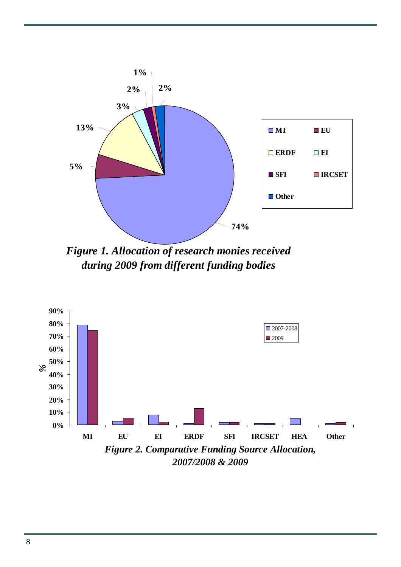

*Figure 1. Allocation of research monies received during 2009 from different funding bodies*

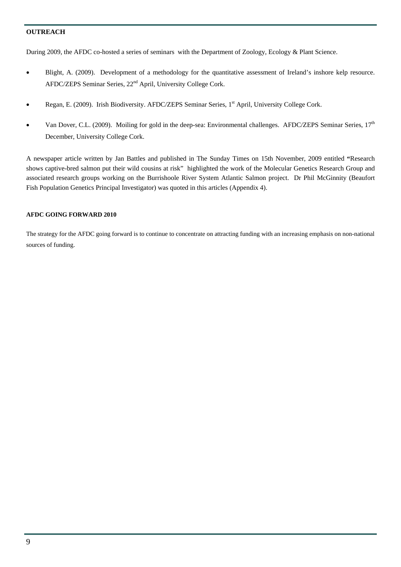#### **OUTREACH**

During 2009, the AFDC co-hosted a series of seminars with the Department of Zoology, Ecology & Plant Science.

- Blight, A. (2009). Development of a methodology for the quantitative assessment of Ireland's inshore kelp resource. AFDC/ZEPS Seminar Series, 22nd April, University College Cork.
- Regan, E. (2009). Irish Biodiversity. AFDC/ZEPS Seminar Series, 1<sup>st</sup> April, University College Cork.
- Van Dover, C.L. (2009). Moiling for gold in the deep-sea: Environmental challenges. AFDC/ZEPS Seminar Series,  $17<sup>th</sup>$ December, University College Cork.

A newspaper article written by Jan Battles and published in The Sunday Times on 15th November, 2009 entitled **"**Research shows captive-bred salmon put their wild cousins at risk" highlighted the work of the Molecular Genetics Research Group and associated research groups working on the Burrishoole River System Atlantic Salmon project. Dr Phil McGinnity (Beaufort Fish Population Genetics Principal Investigator) was quoted in this articles (Appendix 4).

#### **AFDC GOING FORWARD 2010**

The strategy for the AFDC going forward is to continue to concentrate on attracting funding with an increasing emphasis on non-national sources of funding.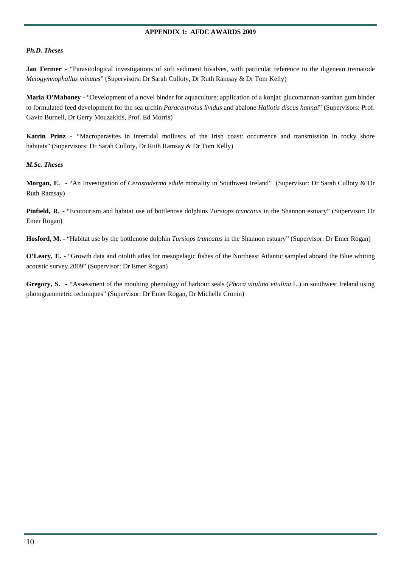#### **APPENDIX 1: AFDC AWARDS 2009**

#### *Ph.D. Theses*

**Jan Fermer** - "Parasitological investigations of soft sediment bivalves, with particular reference to the digenean trematode *Meiogymnophallus minutes*" (Supervisors: Dr Sarah Culloty, Dr Ruth Ramsay & Dr Tom Kelly)

**Maria O'Mahoney** - "Development of a novel binder for aquaculture: application of a konjac glucomannan-xanthan gum binder to formulated feed development for the sea urchin *Paracentrotus lividus* and abalone *Haliotis discus hannai*" (Supervisors: Prof. Gavin Burnell, Dr Gerry Mouzakitis, Prof. Ed Morris)

**Katrin Prinz - "Macroparasites in intertidal molluscs of the Irish coast: occurrence and transmission in rocky shore** habitats" (Supervisors: Dr Sarah Culloty, Dr Ruth Ramsay & Dr Tom Kelly)

#### *M.Sc. Theses*

**Morgan, E.** - "An Investigation of *Cerastoderma edule* mortality in Southwest Ireland" (Supervisor: Dr Sarah Culloty & Dr Ruth Ramsay)

**Pinfield, R.** - "Ecotourism and habitat use of bottlenose dolphins *Tursiops truncatus* in the Shannon estuary" (Supervisor: Dr Emer Rogan)

**Hosford, M.** - "Habitat use by the bottlenose dolphin *Tursiops truncatus* in the Shannon estuary" (Supervisor: Dr Emer Rogan)

**O'Leary, E.** - "Growth data and otolith atlas for mesopelagic fishes of the Northeast Atlantic sampled aboard the Blue whiting acoustic survey 2009" (Supervisor: Dr Emer Rogan)

**Gregory, S. -** "Assessment of the moulting phenology of harbour seals (*Phoca vitulina vitulina* L.) in southwest Ireland using photogrammetric techniques" (Supervisor: Dr Emer Rogan, Dr Michelle Cronin)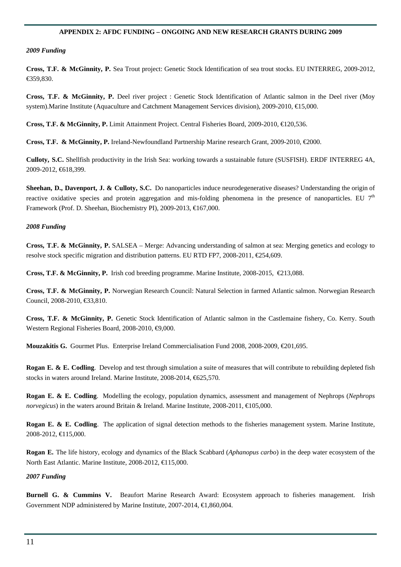#### **APPENDIX 2: AFDC FUNDING – ONGOING AND NEW RESEARCH GRANTS DURING 2009**

#### *2009 Funding*

**Cross, T.F. & McGinnity, P.** Sea Trout project: Genetic Stock Identification of sea trout stocks. EU INTERREG, 2009-2012, €359,830.

**Cross, T.F. & McGinnity, P.** Deel river project : Genetic Stock Identification of Atlantic salmon in the Deel river (Moy system).Marine Institute (Aquaculture and Catchment Management Services division), 2009-2010, €15,000.

**Cross, T.F. & McGinnity, P.** Limit Attainment Project. Central Fisheries Board, 2009-2010, €120,536.

**Cross, T.F. & McGinnity, P.** Ireland-Newfoundland Partnership Marine research Grant, 2009-2010, €2000.

**Culloty, S.C.** Shellfish productivity in the Irish Sea: working towards a sustainable future (SUSFISH). ERDF INTERREG 4A, 2009-2012, €618,399.

**Sheehan, D., Davenport, J. & Culloty, S.C.** Do nanoparticles induce neurodegenerative diseases? Understanding the origin of reactive oxidative species and protein aggregation and mis-folding phenomena in the presence of nanoparticles. EU  $7<sup>th</sup>$ Framework (Prof. D. Sheehan, Biochemistry PI), 2009-2013, €167,000.

#### *2008 Funding*

**Cross, T.F. & McGinnity, P.** SALSEA – Merge: Advancing understanding of salmon at sea: Merging genetics and ecology to resolve stock specific migration and distribution patterns. EU RTD FP7, 2008-2011, €254,609.

**Cross, T.F. & McGinnity, P.** Irish cod breeding programme. Marine Institute, 2008-2015, €213,088.

**Cross, T.F. & McGinnity, P.** Norwegian Research Council: Natural Selection in farmed Atlantic salmon. Norwegian Research Council, 2008-2010, €33,810.

**Cross, T.F. & McGinnity, P.** Genetic Stock Identification of Atlantic salmon in the Castlemaine fishery, Co. Kerry. South Western Regional Fisheries Board, 2008-2010, ⊕,000.

**Mouzakitis G.** Gourmet Plus. Enterprise Ireland Commercialisation Fund 2008, 2008-2009, €201,695.

**Rogan E. & E. Codling**. Develop and test through simulation a suite of measures that will contribute to rebuilding depleted fish stocks in waters around Ireland. Marine Institute, 2008-2014, €625,570.

**Rogan E. & E. Codling**. Modelling the ecology, population dynamics, assessment and management of Nephrops (*Nephrops norvegicus*) in the waters around Britain & Ireland. Marine Institute, 2008-2011, **€**105,000.

**Rogan E. & E. Codling**. The application of signal detection methods to the fisheries management system. Marine Institute, 2008-2012, €115,000.

**Rogan E.** The life history, ecology and dynamics of the Black Scabbard (*Aphanopus carbo*) in the deep water ecosystem of the North East Atlantic. Marine Institute, 2008-2012, €115,000.

#### *2007 Funding*

**Burnell G. & Cummins V.** Beaufort Marine Research Award: Ecosystem approach to fisheries management. Irish Government NDP administered by Marine Institute, 2007-2014, €1,860,004.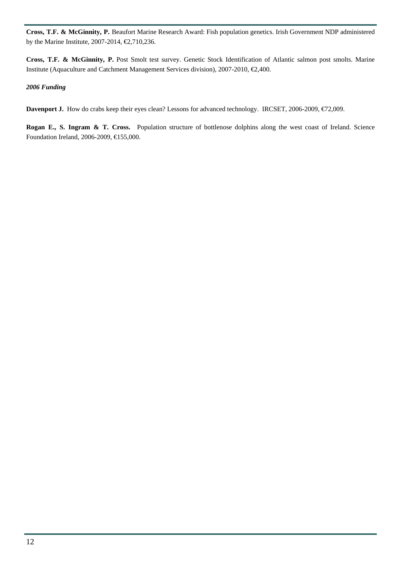**Cross, T.F. & McGinnity, P.** Beaufort Marine Research Award: Fish population genetics. Irish Government NDP administered by the Marine Institute, 2007-2014,  $\text{\textsterling}$ , 710, 236.

**Cross, T.F. & McGinnity, P.** Post Smolt test survey. Genetic Stock Identification of Atlantic salmon post smolts. Marine Institute (Aquaculture and Catchment Management Services division), 2007-2010, €2,400.

#### *2006 Funding*

Davenport J. How do crabs keep their eyes clean? Lessons for advanced technology. IRCSET, 2006-2009, €72,009.

**Rogan E., S. Ingram & T. Cross.** Population structure of bottlenose dolphins along the west coast of Ireland. Science Foundation Ireland, 2006-2009, €155,000.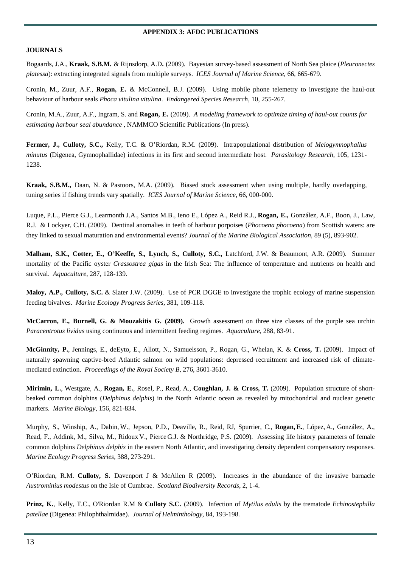#### **APPENDIX 3: AFDC PUBLICATIONS**

#### **JOURNALS**

Bogaards, J.A., **Kraak, S.B.M.** & Rijnsdorp, A.D**.** (2009). Bayesian survey-based assessment of North Sea plaice (*Pleuronectes platessa*): extracting integrated signals from multiple surveys. *ICES Journal of Marine Science*, 66, 665-679.

Cronin, M., Zuur, A.F., **Rogan, E.** & McConnell, B.J. (2009). Using mobile phone telemetry to investigate the haul-out behaviour of harbour seals *Phoca vitulina vitulina*. *Endangered Species Research*, 10, 255-267.

Cronin, M.A., Zuur, A.F., Ingram, S. and **Rogan, E.** (2009). *A modeling framework to optimize timing of haul-out counts for estimating harbour seal abundance ,* NAMMCO Scientific Publications (In press).

**Fermer, J., Culloty, S.C.,** Kelly, T.C. & O'Riordan, R.M. (2009). Intrapopulational distribution of *Meiogymnophallus minutus* (Digenea, Gymnophallidae) infections in its first and second intermediate host. *Parasitology Research*, 105, 1231- 1238.

**Kraak, S.B.M.,** Daan, N. & Pastoors, M.A. (2009). Biased stock assessment when using multiple, hardly overlapping, tuning series if fishing trends vary spatially. *ICES Journal of Marine Science*, 66, 000-000.

Luque, P.L., Pierce G.J., Learmonth J.A., Santos M.B., Ieno E., López A., Reid R.J., **Rogan, E.,** González, A.F., Boon, J., Law, R.J. & Lockyer, C.H. (2009). Dentinal anomalies in teeth of harbour porpoises (*Phocoena phocoena*) from Scottish waters: are they linked to sexual maturation and environmental events? *Journal of the Marine Biological Association,* 89 (5), 893-902.

**Malham, S.K., Cotter, E., O'Keeffe, S., Lynch, S., Culloty, S.C.,** Latchford, J.W. & Beaumont, A.R. (2009). Summer mortality of the Pacific oyster *Crassostrea gigas* in the Irish Sea: The influence of temperature and nutrients on health and survival. *Aquaculture*, 287, 128-139.

**Maloy, A.P., Culloty, S.C.** & Slater J.W. (2009). Use of PCR DGGE to investigate the trophic ecology of marine suspension feeding bivalves. *Marine Ecology Progress Series*, 381, 109-118.

**McCarron, E., Burnell, G. & Mouzakitis G. (2009).** Growth assessment on three size classes of the purple sea urchin *Paracentrotus lividus* using continuous and intermittent feeding regimes. *Aquaculture,* 288, 83-91.

**McGinnity, P.**, Jennings, E., deEyto, E., Allott, N., Samuelsson, P., Rogan, G., Whelan, K. & **Cross, T.** (2009). Impact of naturally spawning captive-bred Atlantic salmon on wild populations: depressed recruitment and increased risk of climatemediated extinction. *Proceedings of the Royal Society B,* 276, 3601-3610.

**Mirimin, L.**, Westgate, A., **Rogan, E.**, Rosel, P., Read, A., **Coughlan, J. & Cross, T.** (2009). Population structure of shortbeaked common dolphins (*Delphinus delphis*) in the North Atlantic ocean as revealed by mitochondrial and nuclear genetic markers. *Marine Biology,* 156, 821-834*.* 

Murphy, S., Winship, A., Dabin,W., Jepson, P.D., Deaville, R., Reid, RJ, Spurrier, C., **Rogan,E.**, López, A., González, A., Read, F., Addink, M., Silva, M., Ridoux V., Pierce G.J. & Northridge, P.S. (2009). Assessing life history parameters of female common dolphins *Delphinus delphis* in the eastern North Atlantic, and investigating density dependent compensatory responses. *Marine Ecology Progress Series,* 388, 273-291.

O'Riordan, R.M. **Culloty, S.** Davenport J & McAllen R (2009). Increases in the abundance of the invasive barnacle *Austrominius modestus* on the Isle of Cumbrae. *Scotland Biodiversity Records*, 2, 1-4.

**Prinz, K.**, Kelly, T.C., O'Riordan R.M & **Culloty S.C.** (2009). Infection of *Mytilus edulis* by the trematode *Echinostephilla patellae* (Digenea: Philophthalmidae). *Journal of Helminthology*, 84, 193-198.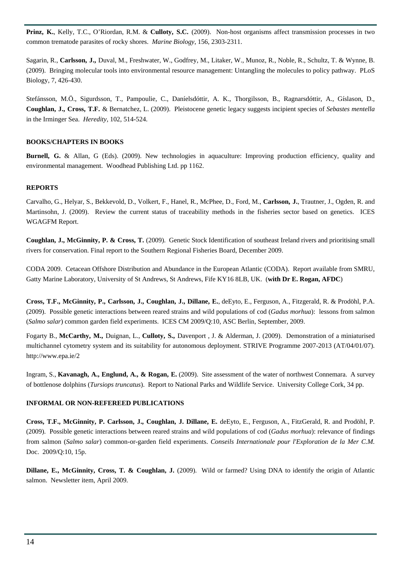**Prinz, K.**, Kelly, T.C., O'Riordan, R.M. & **Culloty, S.C.** (2009). Non-host organisms affect transmission processes in two common trematode parasites of rocky shores. *Marine Biology*, 156, 2303-2311.

Sagarin, R., **Carlsson, J.,** Duval, M., Freshwater, W., Godfrey, M., Litaker, W., Munoz, R., Noble, R., Schultz, T. & Wynne, B. (2009). Bringing molecular tools into environmental resource management: Untangling the molecules to policy pathway. PLoS Biology, 7, 426-430.

Stefánsson, M.Ö., Sigurdsson, T., Pampoulie, C., Daníelsdóttir, A. K., Thorgilsson, B., Ragnarsdóttir, A., Gíslason, D., **Coughlan, J., Cross, T.F.** & Bernatchez, L. (2009). Pleistocene genetic legacy suggests incipient species of *Sebastes mentella* in the Irminger Sea. *Heredity,* 102, 514-524.

#### **BOOKS/CHAPTERS IN BOOKS**

**Burnell, G.** & Allan, G (Eds). (2009). New technologies in aquaculture: Improving production efficiency, quality and environmental management. Woodhead Publishing Ltd. pp 1162.

#### **REPORTS**

Carvalho, G., Helyar, S., Bekkevold, D., Volkert, F., Hanel, R., McPhee, D., Ford, M., **Carlsson, J.**, Trautner, J., Ogden, R. and Martinsohn, J. (2009). Review the current status of traceability methods in the fisheries sector based on genetics. ICES WGAGFM Report.

**Coughlan, J., McGinnity, P. & Cross, T.** (2009). Genetic Stock Identification of southeast Ireland rivers and prioritising small rivers for conservation. Final report to the Southern Regional Fisheries Board, December 2009.

CODA 2009. Cetacean Offshore Distribution and Abundance in the European Atlantic (CODA). Report available from SMRU, Gatty Marine Laboratory, University of St Andrews, St Andrews, Fife KY16 8LB, UK. (**with Dr E. Rogan, AFDC**)

**Cross, T.F., McGinnity, P., Carlsson, J., Coughlan, J., Dillane, E.**, deEyto, E., Ferguson, A., Fitzgerald, R. & Prodöhl, P.A. (2009). Possible genetic interactions between reared strains and wild populations of cod (*Gadus morhua*): lessons from salmon (*Salmo salar*) common garden field experiments. ICES CM 2009/Q:10, ASC Berlin, September, 2009.

Fogarty B., **McCarthy, M.,** Duignan, L., **Culloty, S.,** Davenport , J. & Alderman, J. (2009). Demonstration of a miniaturised multichannel cytometry system and its suitability for autonomous deployment. STRIVE Programme 2007-2013 (AT/04/01/07). http://www.epa.ie/2

Ingram, S., **Kavanagh, A., Englund, A., & Rogan, E.** (2009). Site assessment of the water of northwest Connemara. A survey of bottlenose dolphins (*Tursiops truncatus*). Report to National Parks and Wildlife Service. University College Cork, 34 pp.

#### **INFORMAL OR NON-REFEREED PUBLICATIONS**

**Cross, T.F., McGinnity, P. Carlsson, J., Coughlan, J. Dillane, E.** deEyto, E., Ferguson, A., FitzGerald, R. and Prodöhl, P. (2009). Possible genetic interactions between reared strains and wild populations of cod (*Gadus morhua*): relevance of findings from salmon (*Salmo salar*) common-or-garden field experiments. *Conseils Internationale pour l'Exploration de la Mer C.M.*  Doc. 2009/Q:10, 15p.

**Dillane, E., McGinnity, Cross, T. & Coughlan, J.** (2009). Wild or farmed? Using DNA to identify the origin of Atlantic salmon. Newsletter item, April 2009.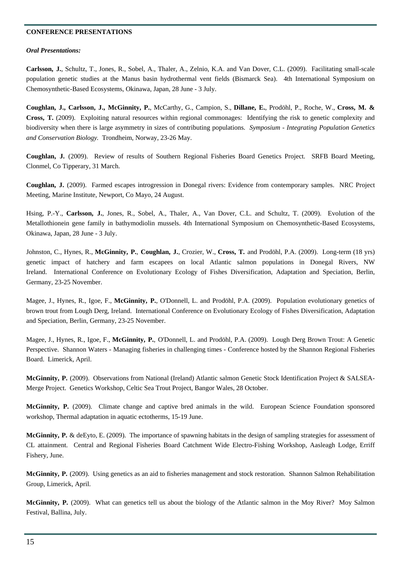#### **CONFERENCE PRESENTATIONS**

#### *Oral Presentations:*

**Carlsson, J.**, Schultz, T., Jones, R., Sobel, A., Thaler, A., Zelnio, K.A. and Van Dover, C.L. (2009). Facilitating small-scale population genetic studies at the Manus basin hydrothermal vent fields (Bismarck Sea). 4th International Symposium on Chemosynthetic-Based Ecosystems, Okinawa, Japan, 28 June - 3 July.

**Coughlan, J., Carlsson, J., McGinnity, P.**, McCarthy, G., Campion, S., **Dillane, E.**, Prodöhl, P., Roche, W., **Cross, M. & Cross, T.** (2009). Exploiting natural resources within regional commonages: Identifying the risk to genetic complexity and biodiversity when there is large asymmetry in sizes of contributing populations. *Symposium - Integrating Population Genetics and Conservation Biology.* Trondheim, Norway, 23-26 May.

**Coughlan, J.** (2009). Review of results of Southern Regional Fisheries Board Genetics Project. SRFB Board Meeting, Clonmel, Co Tipperary, 31 March.

**Coughlan, J.** (2009). Farmed escapes introgression in Donegal rivers: Evidence from contemporary samples. NRC Project Meeting, Marine Institute, Newport, Co Mayo, 24 August.

Hsing, P.-Y., **Carlsson, J.**, Jones, R., Sobel, A., Thaler, A., Van Dover, C.L. and Schultz, T. (2009). Evolution of the Metallothionein gene family in bathymodiolin mussels. 4th International Symposium on Chemosynthetic-Based Ecosystems, Okinawa, Japan, 28 June - 3 July.

Johnston, C., Hynes, R., **McGinnity, P.**, **Coughlan, J.**, Crozier, W., **Cross, T.** and Prodöhl, P.A. (2009). Long-term (18 yrs) genetic impact of hatchery and farm escapees on local Atlantic salmon populations in Donegal Rivers, NW Ireland. International Conference on Evolutionary Ecology of Fishes Diversification, Adaptation and Speciation, Berlin, Germany, 23-25 November.

Magee, J., Hynes, R., Igoe, F., **McGinnity, P.**, O'Donnell, L. and Prodöhl, P.A. (2009). Population evolutionary genetics of brown trout from Lough Derg, Ireland. International Conference on Evolutionary Ecology of Fishes Diversification, Adaptation and Speciation, Berlin, Germany, 23-25 November.

Magee, J., Hynes, R., Igoe, F., **McGinnity, P.**, O'Donnell, L. and Prodöhl, P.A. (2009). Lough Derg Brown Trout: A Genetic Perspective. Shannon Waters - Managing fisheries in challenging times - Conference hosted by the Shannon Regional Fisheries Board. Limerick, April.

**McGinnity, P.** (2009). Observations from National (Ireland) Atlantic salmon Genetic Stock Identification Project & SALSEA-Merge Project. Genetics Workshop, Celtic Sea Trout Project, Bangor Wales, 28 October.

**McGinnity, P.** (2009). Climate change and captive bred animals in the wild. European Science Foundation sponsored workshop, Thermal adaptation in aquatic ectotherms, 15-19 June.

**McGinnity, P.** & deEyto, E. (2009). The importance of spawning habitats in the design of sampling strategies for assessment of CL attainment. Central and Regional Fisheries Board Catchment Wide Electro-Fishing Workshop, Aasleagh Lodge, Erriff Fishery, June.

**McGinnity, P.** (2009). Using genetics as an aid to fisheries management and stock restoration. Shannon Salmon Rehabilitation Group, Limerick, April.

**McGinnity, P.** (2009). What can genetics tell us about the biology of the Atlantic salmon in the Moy River? Moy Salmon Festival, Ballina, July.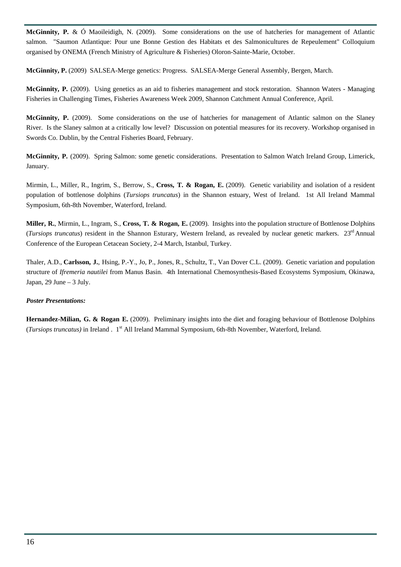**McGinnity, P.** & Ó Maoileidigh, N. (2009). Some considerations on the use of hatcheries for management of Atlantic salmon. "Saumon Atlantique: Pour une Bonne Gestion des Habitats et des Salmonicultures de Repeulement" Colloquium organised by ONEMA (French Ministry of Agriculture & Fisheries) Oloron-Sainte-Marie, October.

**McGinnity, P.** (2009) SALSEA-Merge genetics: Progress. SALSEA-Merge General Assembly, Bergen, March.

**McGinnity, P.** (2009). Using genetics as an aid to fisheries management and stock restoration. Shannon Waters - Managing Fisheries in Challenging Times, Fisheries Awareness Week 2009, Shannon Catchment Annual Conference, April.

**McGinnity, P.** (2009). Some considerations on the use of hatcheries for management of Atlantic salmon on the Slaney River. Is the Slaney salmon at a critically low level? Discussion on potential measures for its recovery. Workshop organised in Swords Co. Dublin, by the Central Fisheries Board, February.

**McGinnity, P.** (2009). Spring Salmon: some genetic considerations. Presentation to Salmon Watch Ireland Group, Limerick, January.

Mirmin, L., Miller, R., Ingrim, S., Berrow, S., **Cross, T. & Rogan, E.** (2009). Genetic variability and isolation of a resident population of bottlenose dolphins (*Tursiops truncatus*) in the Shannon estuary, West of Ireland. 1st All Ireland Mammal Symposium, 6th-8th November, Waterford, Ireland.

**Miller, R.**, Mirmin, L., Ingram, S., **Cross, T. & Rogan, E.** (2009). Insights into the population structure of Bottlenose Dolphins (*Tursiops truncatus*) resident in the Shannon Esturary, Western Ireland, as revealed by nuclear genetic markers. 23rd Annual Conference of the European Cetacean Society, 2-4 March, Istanbul, Turkey.

Thaler, A.D., **Carlsson, J.**, Hsing, P.-Y., Jo, P., Jones, R., Schultz, T., Van Dover C.L. (2009). Genetic variation and population structure of *Ifremeria nautilei* from Manus Basin. 4th International Chemosynthesis-Based Ecosystems Symposium, Okinawa, Japan, 29 June – 3 July.

#### *Poster Presentations:*

**Hernandez-Milian, G. & Rogan E.** (2009). Preliminary insights into the diet and foraging behaviour of Bottlenose Dolphins (*Tursiops truncatus)* in Ireland . 1st All Ireland Mammal Symposium, 6th-8th November, Waterford, Ireland.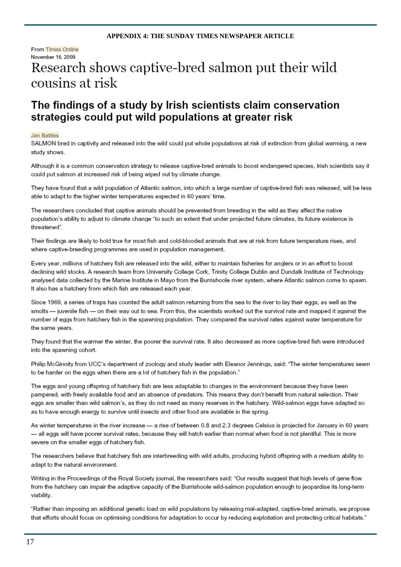#### **APPENDIX 4: THE SUNDAY TIMES NEWSPAPER ARTICLE**

#### From Times Online November 15, 2009

# Research shows captive-bred salmon put their wild cousins at risk

### The findings of a study by Irish scientists claim conservation strategies could put wild populations at greater risk

#### **Jan Battles**

SALMON bred in captivity and released into the wild could put whole populations at risk of extinction from global warming, a new study shows.

Although it is a common conservation strategy to release captive-bred animals to boost endangered species, Irish scientists say it could put salmon at increased risk of being wiped out by climate change.

They have found that a wild population of Atlantic salmon, into which a large number of captive-bred fish was released, will be less able to adapt to the higher winter temperatures expected in 60 years' time.

The researchers concluded that captive animals should be prevented from breeding in the wild as they affect the native population's ability to adjust to climate change "to such an extent that under projected future climates, its future existence is threatened".

Their findings are likely to hold true for most fish and cold-blooded animals that are at risk from future temperature rises, and where captive-breeding programmes are used in population management.

Every year, millions of hatchery fish are released into the wild, either to maintain fisheries for anglers or in an effort to boost declining wild stocks. A research team from University College Cork, Trinity College Dublin and Dundalk Institute of Technology analysed data collected by the Marine Institute in Mayo from the Burrishoole river system, where Atlantic salmon come to spawn. It also has a hatchery from which fish are released each year.

Since 1969, a series of traps has counted the adult salmon returning from the sea to the river to lay their eggs, as well as the smolts - juvenile fish - on their way out to sea. From this, the scientists worked out the survival rate and mapped it against the number of eggs from hatchery fish in the spawning population. They compared the survival rates against water temperature for the same years.

They found that the warmer the winter, the poorer the survival rate. It also decreased as more captive-bred fish were introduced into the spawning cohort.

Philip McGinnity from UCC's department of zoology and study leader with Eleanor Jennings, said: "The winter temperatures seem to be harder on the eggs when there are a lot of hatchery fish in the population."

The eggs and young offspring of hatchery fish are less adaptable to changes in the environment because they have been pampered, with freely available food and an absence of predators. This means they don't benefit from natural selection. Their eggs are smaller than wild salmon's, as they do not need as many reserves in the hatchery. Wild-salmon eggs have adapted so as to have enough energy to survive until insects and other food are available in the spring.

As winter temperatures in the river increase - a rise of between 0.8 and 2.3 degrees Celsius is projected for January in 60 years - all eggs will have poorer survival rates, because they will hatch earlier than normal when food is not plentiful. This is more severe on the smaller eggs of hatchery fish.

The researchers believe that hatchery fish are interbreeding with wild adults, producing hybrid offspring with a medium ability to adapt to the natural environment.

Writing in the Proceedings of the Royal Society journal, the researchers said: "Our results suggest that high levels of gene flow from the hatchery can impair the adaptive capacity of the Burrishoole wild-salmon population enough to jeopardise its long-term viability.

"Rather than imposing an additional genetic load on wild populations by releasing mal-adapted, captive-bred animals, we propose that efforts should focus on optimising conditions for adaptation to occur by reducing exploitation and protecting critical habitats."